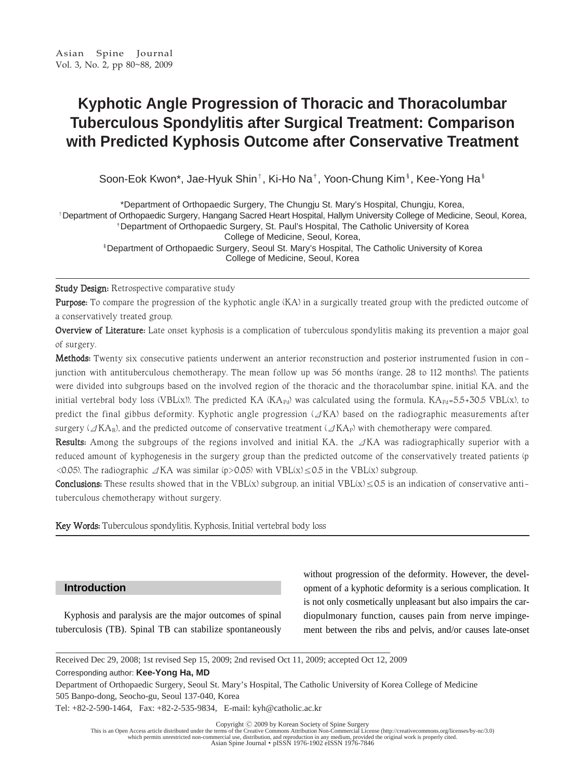# **Kyphotic Angle Progression of Thoracic and Thoracolumbar Tuberculous Spondylitis after Surgical Treatment: Comparison with Predicted Kyphosis Outcome after Conservative Treatment**

Soon-Eok Kwon\*, Jae-Hyuk Shin<sup>+</sup>, Ki-Ho Na<sup>‡</sup>, Yoon-Chung Kim<sup>§</sup>, Kee-Yong Ha<sup>§</sup>

\*Department of Orthopaedic Surgery, The Chungju St. Mary's Hospital, Chungju, Korea, <sup>+</sup>Department of Orthopaedic Surgery, Hangang Sacred Heart Hospital, Hallym University College of Medicine, Seoul, Korea,

<sup>+</sup>Department of Orthopaedic Surgery, St. Paul's Hospital, The Catholic University of Korea College of Medicine, Seoul, Korea,

�Department of Orthopaedic Surgery, Seoul St. Mary's Hospital, The Catholic University of Korea College of Medicine, Seoul, Korea

Study Design: Retrospective comparative study

Purpose: To compare the progression of the kyphotic angle (KA) in a surgically treated group with the predicted outcome of a conservatively treated group.

Overview of Literature: Late onset kyphosis is a complication of tuberculous spondylitis making its prevention a major goal of surgery.

Methods: Twenty six consecutive patients underwent an anterior reconstruction and posterior instrumented fusion in conjunction with antituberculous chemotherapy. The mean follow up was 56 months (range, 28 to 112 months). The patients were divided into subgroups based on the involved region of the thoracic and the thoracolumbar spine, initial KA, and the initial vertebral body loss (VBL(x)). The predicted KA (KA<sub>Pd</sub>) was calculated using the formula, KA<sub>Pd=5.5+30.5</sub> VBL(x), to predict the final gibbus deformity. Kyphotic angle progression  $(\Delta K A)$  based on the radiographic measurements after surgery ( $\Delta K$ A<sub>R</sub>), and the predicted outcome of conservative treatment ( $\Delta K$ A<sub>P</sub>) with chemotherapy were compared.

Results: Among the subgroups of the regions involved and initial KA, the ΔKA was radiographically superior with a reduced amount of kyphogenesis in the surgery group than the predicted outcome of the conservatively treated patients (p  $\leq$ 0.05). The radiographic  $\angle$ KA was similar (p $>$ 0.05) with VBL(x) $\leq$ 0.5 in the VBL(x) subgroup.

**Conclusions:** These results showed that in the VBL(x) subgroup, an initial VBL(x)  $\leq$ 0.5 is an indication of conservative antituberculous chemotherapy without surgery.

Key Words: Tuberculous spondylitis, Kyphosis, Initial vertebral body loss

# **Introduction**

Kyphosis and paralysis are the major outcomes of spinal tuberculosis (TB). Spinal TB can stabilize spontaneously without progression of the deformity. However, the development of a kyphotic deformity is a serious complication. It is not only cosmetically unpleasant but also impairs the cardiopulmonary function, causes pain from nerve impingement between the ribs and pelvis, and/or causes late-onset

Corresponding author: **Kee-Yong Ha, MD**

Department of Orthopaedic Surgery, Seoul St. Mary's Hospital, The Catholic University of Korea College of Medicine 505 Banpo-dong, Seocho-gu, Seoul 137-040, Korea

Tel: +82-2-590-1464, Fax: +82-2-535-9834, E-mail: kyh@catholic.ac.kr

Copyright © 2009 by Korean Society of Spine Surgery<br>This is an Open Access article distributed under the terms of the Creative Commons Attribution Non-Commercial License (http://creativecommons.org/licenses/by-nc/3.0) which permits unrestricted non-commercial use, distribution, and reproduction in any medium, provided the original work is properly cited.<br>Asian Spine Journal • pISSN 1976-1902 eISSN 1976-7846

Received Dec 29, 2008; 1st revised Sep 15, 2009; 2nd revised Oct 11, 2009; accepted Oct 12, 2009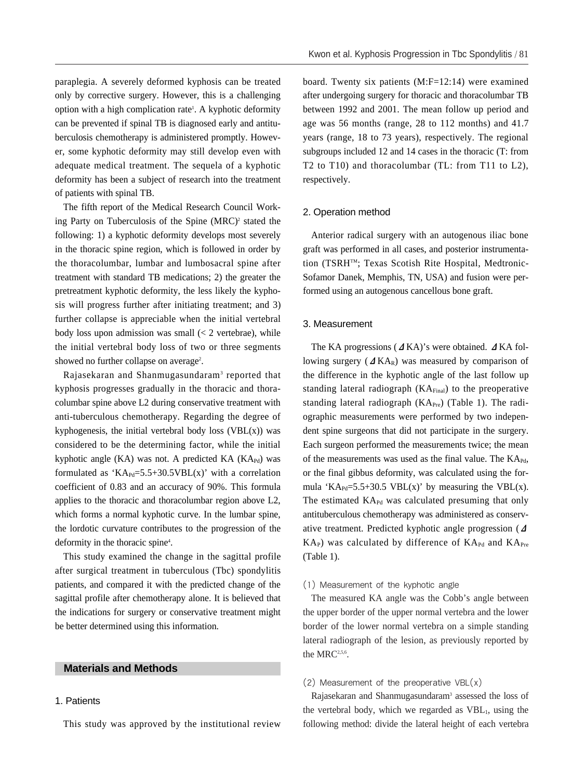paraplegia. A severely deformed kyphosis can be treated only by corrective surgery. However, this is a challenging option with a high complication rate<sup>1</sup>. A kyphotic deformity can be prevented if spinal TB is diagnosed early and antituberculosis chemotherapy is administered promptly. However, some kyphotic deformity may still develop even with adequate medical treatment. The sequela of a kyphotic deformity has been a subject of research into the treatment of patients with spinal TB.

The fifth report of the Medical Research Council Working Party on Tuberculosis of the Spine  $(MRC)^2$  stated the following: 1) a kyphotic deformity develops most severely in the thoracic spine region, which is followed in order by the thoracolumbar, lumbar and lumbosacral spine after treatment with standard TB medications; 2) the greater the pretreatment kyphotic deformity, the less likely the kyphosis will progress further after initiating treatment; and 3) further collapse is appreciable when the initial vertebral body loss upon admission was small  $\ll$  2 vertebrae), while the initial vertebral body loss of two or three segments showed no further collapse on average<sup>2</sup>.

Rajasekaran and Shanmugasundaram3 reported that kyphosis progresses gradually in the thoracic and thoracolumbar spine above L2 during conservative treatment with anti-tuberculous chemotherapy. Regarding the degree of kyphogenesis, the initial vertebral body loss  $(VBL(x))$  was considered to be the determining factor, while the initial kyphotic angle (KA) was not. A predicted KA ( $KA_{Pd}$ ) was formulated as 'KA<sub>Pd</sub>=5.5+30.5VBL(x)' with a correlation coefficient of 0.83 and an accuracy of 90%. This formula applies to the thoracic and thoracolumbar region above L2, which forms a normal kyphotic curve. In the lumbar spine, the lordotic curvature contributes to the progression of the deformity in the thoracic spine4 .

This study examined the change in the sagittal profile after surgical treatment in tuberculous (Tbc) spondylitis patients, and compared it with the predicted change of the sagittal profile after chemotherapy alone. It is believed that the indications for surgery or conservative treatment might be better determined using this information.

## **Materials and Methods**

## 1. Patients

This study was approved by the institutional review

board. Twenty six patients (M:F=12:14) were examined after undergoing surgery for thoracic and thoracolumbar TB between 1992 and 2001. The mean follow up period and age was 56 months (range, 28 to 112 months) and 41.7 years (range, 18 to 73 years), respectively. The regional subgroups included 12 and 14 cases in the thoracic (T: from T2 to T10) and thoracolumbar (TL: from T11 to L2), respectively.

#### 2. Operation method

Anterior radical surgery with an autogenous iliac bone graft was performed in all cases, and posterior instrumentation (TSRHTM; Texas Scotish Rite Hospital, Medtronic-Sofamor Danek, Memphis, TN, USA) and fusion were performed using an autogenous cancellous bone graft.

#### 3. Measurement

The KA progressions (ΔKA)'s were obtained. ΔKA following surgery ( $\Delta$ KA<sub>R</sub>) was measured by comparison of the difference in the kyphotic angle of the last follow up standing lateral radiograph  $(KA_{Final})$  to the preoperative standing lateral radiograph  $(KA_{Pre})$  (Table 1). The radiographic measurements were performed by two independent spine surgeons that did not participate in the surgery. Each surgeon performed the measurements twice; the mean of the measurements was used as the final value. The  $KA_{Pd}$ , or the final gibbus deformity, was calculated using the formula 'KA<sub>Pd</sub>=5.5+30.5 VBL(x)' by measuring the VBL(x). The estimated  $KA_{Pd}$  was calculated presuming that only antituberculous chemotherapy was administered as conservative treatment. Predicted kyphotic angle progression (Δ  $KA<sub>P</sub>$ ) was calculated by difference of  $KA<sub>Pd</sub>$  and  $KA<sub>Pre</sub>$ (Table 1).

#### (1) Measurement of the kyphotic angle

The measured KA angle was the Cobb's angle between the upper border of the upper normal vertebra and the lower border of the lower normal vertebra on a simple standing lateral radiograph of the lesion, as previously reported by the MRC<sup>2,5,6</sup>.

## $(2)$  Measurement of the preoperative VBL $(x)$

Rajasekaran and Shanmugasundaram<sup>3</sup> assessed the loss of the vertebral body, which we regarded as  $VBL<sub>1</sub>$ , using the following method: divide the lateral height of each vertebra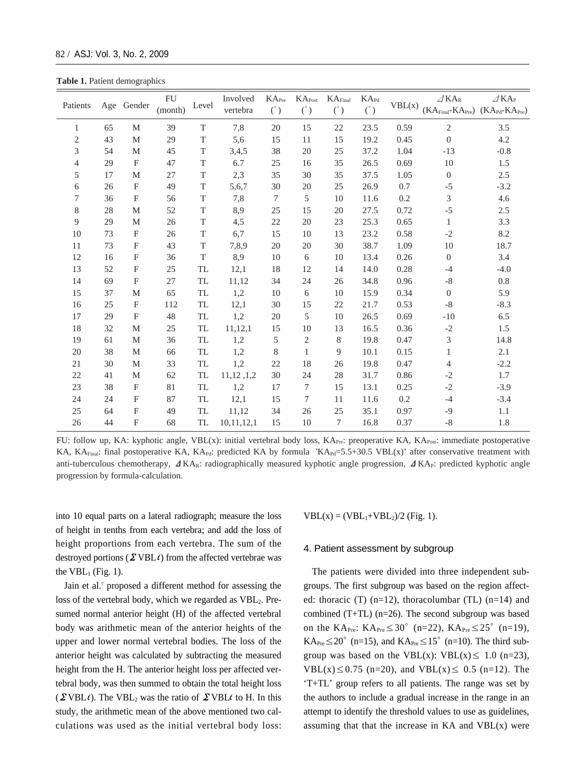**Table 1.** Patient demographics

| Patients       |    | Age Gender                | <b>FU</b><br>(month) | Level       | Involved<br>vertebra | KA <sub>Pre</sub><br>$(\degree)$ | $KA_{Post}$<br>$(\degree)$ | KA <sub>Final</sub><br>$(\mathring{\ })$ | $KA_{Pd}$<br>$(\degree)$ | VBL(x) | $\angle$ KA <sub>R</sub><br>$(KA_{Final} - KA_{Pre})$ $(KA_{Pd} - KA_{Pre})$ | $\angle$ KA <sub>P</sub> |
|----------------|----|---------------------------|----------------------|-------------|----------------------|----------------------------------|----------------------------|------------------------------------------|--------------------------|--------|------------------------------------------------------------------------------|--------------------------|
| 1              | 65 | M                         | 39                   | T           | $7,\!8$              | 20                               | 15                         | 22                                       | 23.5                     | 0.59   | $\mathfrak{2}$                                                               | 3.5                      |
| $\mathfrak{2}$ | 43 | M                         | 29                   | T           | 5,6                  | 15                               | 11                         | 15                                       | 19.2                     | 0.45   | $\mathbf{0}$                                                                 | 4.2                      |
| 3              | 54 | $\mathbf M$               | 45                   | $\rm T$     | 3,4,5                | 38                               | 20                         | 25                                       | 37.2                     | 1.04   | $-13$                                                                        | $-0.8$                   |
| $\overline{4}$ | 29 | $\mathbf{F}$              | 47                   | T           | 6.7                  | 25                               | 16                         | 35                                       | 26.5                     | 0.69   | 10                                                                           | 1.5                      |
| 5              | 17 | M                         | 27                   | T           | 2,3                  | 35                               | 30                         | 35                                       | 37.5                     | 1.05   | $\boldsymbol{0}$                                                             | 2.5                      |
| 6              | 26 | $\mathbf{F}$              | 49                   | T           | 5,6,7                | 30                               | 20                         | 25                                       | 26.9                     | 0.7    | $-5$                                                                         | $-3.2$                   |
| 7              | 36 | F                         | 56                   | T           | 7,8                  | $\tau$                           | 5                          | 10                                       | 11.6                     | 0.2    | 3                                                                            | 4.6                      |
| 8              | 28 | $\mathbf M$               | 52                   | $\rm T$     | 8,9                  | 25                               | 15                         | 20                                       | 27.5                     | 0.72   | $-5$                                                                         | $2.5\,$                  |
| 9              | 29 | M                         | 26                   | T           | 4,5                  | 22                               | 20                         | 23                                       | 25.3                     | 0.65   | 1                                                                            | 3.3                      |
| 10             | 73 | $\mathbf{F}$              | 26                   | $\mathbf T$ | 6,7                  | 15                               | 10                         | 13                                       | 23.2                     | 0.58   | $-2$                                                                         | 8.2                      |
| 11             | 73 | $\mathbf{F}$              | 43                   | $\rm T$     | 7,8,9                | 20                               | 20                         | 30                                       | 38.7                     | 1.09   | 10                                                                           | 18.7                     |
| 12             | 16 | $\boldsymbol{\mathrm{F}}$ | 36                   | $\mathbf T$ | 8,9                  | 10                               | 6                          | 10                                       | 13.4                     | 0.26   | $\boldsymbol{0}$                                                             | 3.4                      |
| 13             | 52 | $\mathbf{F}$              | 25                   | <b>TL</b>   | 12,1                 | 18                               | 12                         | 14                                       | 14.0                     | 0.28   | $-4$                                                                         | $-4.0$                   |
| 14             | 69 | $\mathbf{F}$              | 27                   | TL          | 11,12                | 34                               | 24                         | 26                                       | 34.8                     | 0.96   | $-8$                                                                         | $0.8\,$                  |
| 15             | 37 | M                         | 65                   | TL          | 1,2                  | 10                               | 6                          | 10                                       | 15.9                     | 0.34   | $\boldsymbol{0}$                                                             | 5.9                      |
| 16             | 25 | F                         | 112                  | <b>TL</b>   | 12,1                 | 30                               | 15                         | 22                                       | 21.7                     | 0.53   | $-8$                                                                         | $-8.3$                   |
| 17             | 29 | $\mathbf{F}$              | 48                   | <b>TL</b>   | 1,2                  | 20                               | 5                          | 10                                       | 26.5                     | 0.69   | $-10$                                                                        | 6.5                      |
| 18             | 32 | M                         | 25                   | TL          | 11,12,1              | 15                               | 10                         | 13                                       | 16.5                     | 0.36   | $-2$                                                                         | $1.5\,$                  |
| 19             | 61 | M                         | 36                   | TL          | 1,2                  | 5                                | 2                          | 8                                        | 19.8                     | 0.47   | 3                                                                            | 14.8                     |
| 20             | 38 | $\mathbf M$               | 66                   | TL          | 1,2                  | $8\,$                            | $\mathbf{1}$               | 9                                        | 10.1                     | 0.15   | 1                                                                            | 2.1                      |
| 21             | 30 | M                         | 33                   | TL          | 1,2                  | 22                               | 18                         | 26                                       | 19.8                     | 0.47   | $\overline{4}$                                                               | $-2.2$                   |
| 22             | 41 | M                         | 62                   | TL          | 11,12,1,2            | 30                               | 24                         | 28                                       | 31.7                     | 0.86   | $-2$                                                                         | 1.7                      |
| 23             | 38 | $\mathbf{F}$              | $81\,$               | TL          | 1,2                  | 17                               | 7                          | 15                                       | 13.1                     | 0.25   | $-2$                                                                         | $-3.9$                   |
| 24             | 24 | $\boldsymbol{\mathrm{F}}$ | 87                   | TL          | 12,1                 | 15                               | 7                          | 11                                       | 11.6                     | 0.2    | $-4$                                                                         | $-3.4$                   |
| 25             | 64 | $\boldsymbol{\mathrm{F}}$ | 49                   | TL          | 11,12                | 34                               | $26$                       | 25                                       | 35.1                     | 0.97   | $-9$                                                                         | 1.1                      |
| 26             | 44 | $\boldsymbol{\mathrm{F}}$ | 68                   | <b>TL</b>   | 10, 11, 12, 1        | 15                               | 10                         | $\tau$                                   | 16.8                     | 0.37   | $-8$                                                                         | 1.8                      |

FU: follow up, KA: kyphotic angle, VBL(x): initial vertebral body loss,  $KA_{Pre}$ : preoperative KA,  $KA_{Post}$ : immediate postoperative KA, KA<sub>Final</sub>: final postoperative KA, KA<sub>Pd</sub>: predicted KA by formula 'KA<sub>Pd</sub>=5.5+30.5 VBL(x)' after conservative treatment with anti-tuberculous chemotherapy,  $\Delta K A_R$ : radiographically measured kyphotic angle progression,  $\Delta K A_P$ : predicted kyphotic angle progression by formula-calculation.

into 10 equal parts on a lateral radiograph; measure the loss of height in tenths from each vertebra; and add the loss of height proportions from each vertebra. The sum of the destroyed portions ( $\Sigma$  VBL $\iota$ ) from the affected vertebrae was the  $VBL<sub>1</sub>$  (Fig. 1).

Jain et al.<sup>7</sup> proposed a different method for assessing the loss of the vertebral body, which we regarded as  $VBL<sub>2</sub>$ . Presumed normal anterior height (H) of the affected vertebral body was arithmetic mean of the anterior heights of the upper and lower normal vertebral bodies. The loss of the anterior height was calculated by subtracting the measured height from the H. The anterior height loss per affected vertebral body, was then summed to obtain the total height loss  $(\Sigma \text{VBL} \iota)$ . The VBL<sub>2</sub> was the ratio of  $\Sigma \text{VBL} \iota$  to H. In this study, the arithmetic mean of the above mentioned two calculations was used as the initial vertebral body loss:  $VBL(x) = (VBL<sub>1</sub>+VBL<sub>2</sub>)/2$  (Fig. 1).

## 4. Patient assessment by subgroup

The patients were divided into three independent subgroups. The first subgroup was based on the region affected: thoracic (T)  $(n=12)$ , thoracolumbar (TL)  $(n=14)$  and combined (T+TL) (n=26). The second subgroup was based on the KA<sub>Pre</sub>: KA<sub>Pre</sub> $\leq 30^{\circ}$  (n=22), KA<sub>Pre</sub> $\leq 25^{\circ}$  (n=19), KA<sub>Pre</sub> ≤ 20° (n=15), and KA<sub>Pre</sub> ≤ 15° (n=10). The third subgroup was based on the VBL(x): VBL(x)  $\leq$  1.0 (n=23), VBL(x) ≤ 0.75 (n=20), and VBL(x) ≤ 0.5 (n=12). The 'T+TL' group refers to all patients. The range was set by the authors to include a gradual increase in the range in an attempt to identify the threshold values to use as guidelines, assuming that that the increase in  $KA$  and  $VBL(x)$  were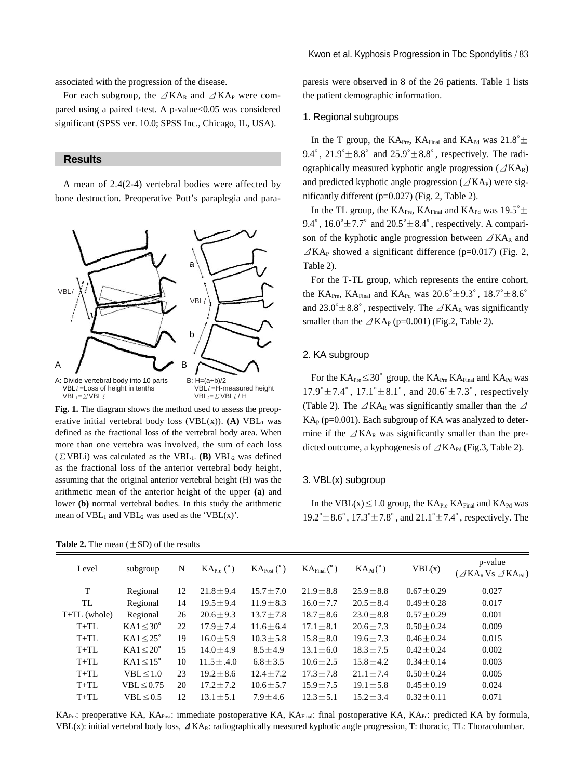associated with the progression of the disease.

For each subgroup, the  $\Delta K A_R$  and  $\Delta K A_P$  were compared using a paired t-test. A p-value<0.05 was considered significant (SPSS ver. 10.0; SPSS Inc., Chicago, IL, USA).

# **Results**

A mean of 2.4(2-4) vertebral bodies were affected by bone destruction. Preoperative Pott's paraplegia and para-



**Fig. 1.** The diagram shows the method used to assess the preoperative initial vertebral body loss (VBL $(x)$ ). **(A)** VBL<sub>1</sub> was defined as the fractional loss of the vertebral body area. When more than one vertebra was involved, the sum of each loss  $(\Sigma \text{VBLi})$  was calculated as the VBL<sub>1</sub>. **(B)** VBL<sub>2</sub> was defined as the fractional loss of the anterior vertebral body height, assuming that the original anterior vertebral height (H) was the arithmetic mean of the anterior height of the upper **(a)** and lower **(b)** normal vertebral bodies. In this study the arithmetic mean of  $VBL_1$  and  $VBL_2$  was used as the 'VBL(x)'.

paresis were observed in 8 of the 26 patients. Table 1 lists the patient demographic information.

### 1. Regional subgroups

In the T group, the KA<sub>Pre</sub>, KA<sub>Final</sub> and KA<sub>Pd</sub> was  $21.8^{\circ} \pm$ 9.4°,  $21.9^{\circ} \pm 8.8^{\circ}$  and  $25.9^{\circ} \pm 8.8^{\circ}$ , respectively. The radiographically measured kyphotic angle progression ( $\angle$ KA<sub>R</sub>) and predicted kyphotic angle progression ( $\angle$ KA<sub>P</sub>) were significantly different (p=0.027) (Fig. 2, Table 2).

In the TL group, the  $KA_{Pre}$ ,  $KA_{Final}$  and  $KA_{Pd}$  was 19.5° $\pm$ 9.4°,  $16.0^{\circ} \pm 7.7^{\circ}$  and  $20.5^{\circ} \pm 8.4^{\circ}$ , respectively. A comparison of the kyphotic angle progression between  $\angle$ KA<sub>R</sub> and  $\angle$ KA<sub>P</sub> showed a significant difference (p=0.017) (Fig. 2, Table 2).

For the T-TL group, which represents the entire cohort, the KA<sub>Pre</sub>, KA<sub>Final</sub> and KA<sub>Pd</sub> was  $20.6^{\circ} \pm 9.3^{\circ}$ ,  $18.7^{\circ} \pm 8.6^{\circ}$ and  $23.0^{\circ} \pm 8.8^{\circ}$ , respectively. The  $\angle$ KA<sub>R</sub> was significantly smaller than the  $\angle$ KA<sub>P</sub> (p=0.001) (Fig.2, Table 2).

### 2. KA subgroup

For the  $KA_{Pre} \leq 30^{\circ}$  group, the  $KA_{Pre}$  KA<sub>Final</sub> and  $KA_{Pd}$  was  $17.9^{\circ} \pm 7.4^{\circ}$ ,  $17.1^{\circ} \pm 8.1^{\circ}$ , and  $20.6^{\circ} \pm 7.3^{\circ}$ , respectively (Table 2). The  $\angle$ KA<sub>R</sub> was significantly smaller than the  $\angle$  $KA_p$  (p=0.001). Each subgroup of KA was analyzed to determine if the  $\angle$ KA<sub>R</sub> was significantly smaller than the predicted outcome, a kyphogenesis of  $\angle$ KA<sub>Pd</sub> (Fig.3, Table 2).

#### 3. VBL(x) subgroup

In the VBL( $x$ )  $\leq$  1.0 group, the KA<sub>Pre</sub> KA<sub>Final</sub> and KA<sub>Pd</sub> was  $19.2^{\circ} \pm 8.6^{\circ}$ ,  $17.3^{\circ} \pm 7.8^{\circ}$ , and  $21.1^{\circ} \pm 7.4^{\circ}$ , respectively. The

| Level          | subgroup              | N  | $KA_{Pre} (°)$  | $\text{KA}_{\text{Post}}$ (°) | $KA_{Final} (°)$ | $\text{KA}_{\text{Pd}}(^{\circ})$ | VBL(x)          | p-value<br>$(\angle$ KA <sub>R</sub> V <sub>S</sub> $\angle$ KA <sub>Pd</sub> ) |
|----------------|-----------------------|----|-----------------|-------------------------------|------------------|-----------------------------------|-----------------|---------------------------------------------------------------------------------|
| T              | Regional              | 12 | $21.8 \pm 9.4$  | $15.7 \pm 7.0$                | $21.9 \pm 8.8$   | $25.9 \pm 8.8$                    | $0.67 \pm 0.29$ | 0.027                                                                           |
| TL             | Regional              | 14 | $19.5 \pm 9.4$  | $11.9 \pm 8.3$                | $16.0 \pm 7.7$   | $20.5 \pm 8.4$                    | $0.49 \pm 0.28$ | 0.017                                                                           |
| $T+TL$ (whole) | Regional              | 26 | $20.6 \pm 9.3$  | $13.7 \pm 7.8$                | $18.7 \pm 8.6$   | $23.0 \pm 8.8$                    | $0.57 \pm 0.29$ | 0.001                                                                           |
| $T+TL$         | $KAI \leq 30^{\circ}$ | 22 | $17.9 \pm 7.4$  | $11.6 \pm 6.4$                | $17.1 \pm 8.1$   | $20.6 \pm 7.3$                    | $0.50 \pm 0.24$ | 0.009                                                                           |
| $T+TL$         | $KAI \leq 25^{\circ}$ | 19 | $16.0 + 5.9$    | $10.3 \pm 5.8$                | $15.8 \pm 8.0$   | $19.6 \pm 7.3$                    | $0.46 + 0.24$   | 0.015                                                                           |
| $T+TL$         | $KAI \leq 20^{\circ}$ | 15 | $14.0 + 4.9$    | $8.5 \pm 4.9$                 | $13.1 \pm 6.0$   | $18.3 \pm 7.5$                    | $0.42 + 0.24$   | 0.002                                                                           |
| $T+TL$         | $KAI \leq 15^{\circ}$ | 10 | $11.5 \pm .4.0$ | $6.8 \pm 3.5$                 | $10.6 \pm 2.5$   | $15.8 \pm 4.2$                    | $0.34 \pm 0.14$ | 0.003                                                                           |
| $T+TL$         | VBL < 1.0             | 23 | $19.2 \pm 8.6$  | $12.4 \pm 7.2$                | $17.3 \pm 7.8$   | $21.1 \pm 7.4$                    | $0.50 \pm 0.24$ | 0.005                                                                           |
| $T+TL$         | VBL < 0.75            | 20 | $17.2 \pm 7.2$  | $10.6 \pm 5.7$                | $15.9 \pm 7.5$   | $19.1 \pm 5.8$                    | $0.45 \pm 0.19$ | 0.024                                                                           |
| $T+TL$         | VBL < 0.5             | 12 | $13.1 \pm 5.1$  | $7.9 \pm 4.6$                 | $12.3 \pm 5.1$   | $15.2 \pm 3.4$                    | $0.32 \pm 0.11$ | 0.071                                                                           |
|                |                       |    |                 |                               |                  |                                   |                 |                                                                                 |

KA<sub>Pre</sub>: preoperative KA, KA<sub>Post</sub>: immediate postoperative KA, KA<sub>Final</sub>: final postoperative KA, KA<sub>Pd</sub>: predicted KA by formula, VBL(x): initial vertebral body loss,  $\Delta K A_R$ : radiographically measured kyphotic angle progression, T: thoracic, TL: Thoracolumbar.

**Table 2.** The mean  $(\pm SD)$  of the results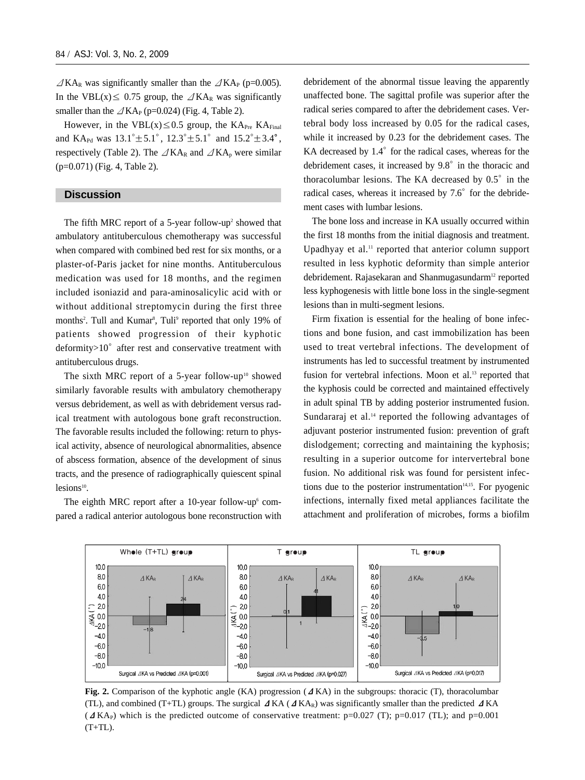$\triangle$ KA<sub>R</sub> was significantly smaller than the  $\triangle$ KA<sub>P</sub> (p=0.005). In the VBL(x)  $\leq$  0.75 group, the  $\angle$ KA<sub>R</sub> was significantly smaller than the  $\angle$ KA<sub>P</sub> (p=0.024) (Fig. 4, Table 2).

However, in the VBL $(x) \le 0.5$  group, the KA<sub>Pre</sub> KA<sub>Final</sub> and KA<sub>Pd</sub> was  $13.1^{\circ} \pm 5.1^{\circ}$ ,  $12.3^{\circ} \pm 5.1^{\circ}$  and  $15.2^{\circ} \pm 3.4^{\circ}$ , respectively (Table 2). The  $\angle$ KA<sub>R</sub> and  $\angle$ KA<sub>p</sub> were similar (p=0.071) (Fig. 4, Table 2).

#### **Discussion**

The fifth MRC report of a 5-year follow-up<sup>2</sup> showed that ambulatory antituberculous chemotherapy was successful when compared with combined bed rest for six months, or a plaster-of-Paris jacket for nine months. Antituberculous medication was used for 18 months, and the regimen included isoniazid and para-aminosalicylic acid with or without additional streptomycin during the first three months<sup>2</sup>. Tull and Kumar<sup>8</sup>, Tuli<sup>9</sup> reported that only 19% of patients showed progression of their kyphotic  $deformity > 10^{\circ}$  after rest and conservative treatment with antituberculous drugs.

The sixth MRC report of a 5-year follow-up<sup>10</sup> showed similarly favorable results with ambulatory chemotherapy versus debridement, as well as with debridement versus radical treatment with autologous bone graft reconstruction. The favorable results included the following: return to physical activity, absence of neurological abnormalities, absence of abscess formation, absence of the development of sinus tracts, and the presence of radiographically quiescent spinal lesions<sup>10</sup>.

The eighth MRC report after a 10-year follow-up $6$  compared a radical anterior autologous bone reconstruction with debridement of the abnormal tissue leaving the apparently unaffected bone. The sagittal profile was superior after the radical series compared to after the debridement cases. Vertebral body loss increased by 0.05 for the radical cases, while it increased by 0.23 for the debridement cases. The KA decreased by  $1.4^{\circ}$  for the radical cases, whereas for the debridement cases, it increased by 9.8° in the thoracic and thoracolumbar lesions. The KA decreased by  $0.5^\circ$  in the radical cases, whereas it increased by  $7.6^{\circ}$  for the debridement cases with lumbar lesions.

The bone loss and increase in KA usually occurred within the first 18 months from the initial diagnosis and treatment. Upadhyay et al. $<sup>11</sup>$  reported that anterior column support</sup> resulted in less kyphotic deformity than simple anterior debridement. Rajasekaran and Shanmugasundarm<sup>12</sup> reported less kyphogenesis with little bone loss in the single-segment lesions than in multi-segment lesions.

Firm fixation is essential for the healing of bone infections and bone fusion, and cast immobilization has been used to treat vertebral infections. The development of instruments has led to successful treatment by instrumented fusion for vertebral infections. Moon et al.<sup>13</sup> reported that the kyphosis could be corrected and maintained effectively in adult spinal TB by adding posterior instrumented fusion. Sundararaj et al.<sup>14</sup> reported the following advantages of adjuvant posterior instrumented fusion: prevention of graft dislodgement; correcting and maintaining the kyphosis; resulting in a superior outcome for intervertebral bone fusion. No additional risk was found for persistent infections due to the posterior instrumentation $14,15$ . For pyogenic infections, internally fixed metal appliances facilitate the attachment and proliferation of microbes, forms a biofilm



**Fig. 2.** Comparison of the kyphotic angle (KA) progression (ΔKA) in the subgroups: thoracic (T), thoracolumbar (TL), and combined (T+TL) groups. The surgical  $\Delta$ KA ( $\Delta$ KA<sub>R</sub>) was significantly smaller than the predicted  $\Delta$ KA  $(2 K A<sub>P</sub>)$  which is the predicted outcome of conservative treatment: p=0.027 (T); p=0.017 (TL); and p=0.001  $(T+TL)$ .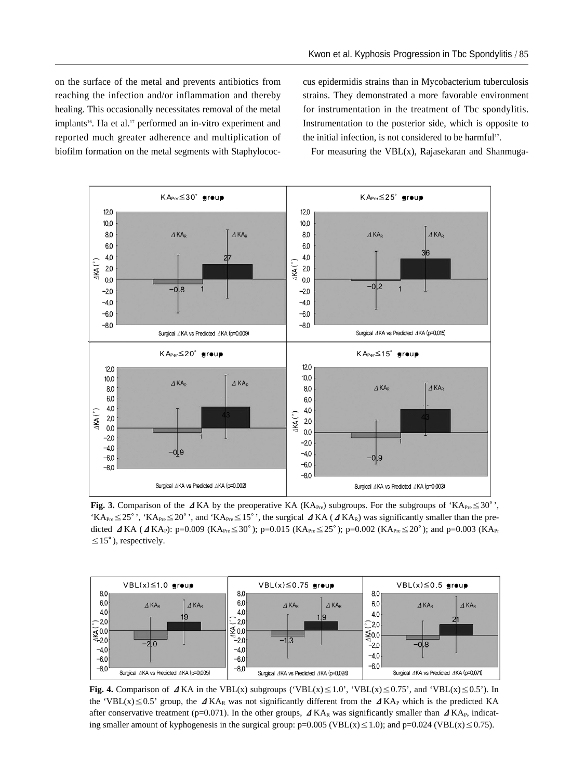on the surface of the metal and prevents antibiotics from reaching the infection and/or inflammation and thereby healing. This occasionally necessitates removal of the metal implants<sup>16</sup>. Ha et al.<sup>17</sup> performed an in-vitro experiment and reported much greater adherence and multiplication of biofilm formation on the metal segments with Staphylococcus epidermidis strains than in Mycobacterium tuberculosis strains. They demonstrated a more favorable environment for instrumentation in the treatment of Tbc spondylitis. Instrumentation to the posterior side, which is opposite to the initial infection, is not considered to be harmful<sup>17</sup>.

For measuring the VBL(x), Rajasekaran and Shanmuga-



**Fig. 3.** Comparison of the ⊿KA by the preoperative KA (KA<sub>Pre</sub>) subgroups. For the subgroups of 'KA<sub>Pre</sub>≤30<sup>°</sup>', 'KA<sub>Pre</sub> ≤25<sup>o</sup>', 'KA<sub>Pre</sub> ≤20<sup>o</sup>', and 'KA<sub>Pre</sub> ≤15<sup>o</sup>', the surgical  $\Delta$ KA ( $\Delta$ KA<sub>R</sub>) was significantly smaller than the predicted  $\Delta$ KA ( $\Delta$ KA<sub>P</sub>): p=0.009 (KA<sub>Pre</sub> ≤ 30<sup>°</sup>); p=0.015 (KA<sub>Pre</sub> ≤ 25<sup>°</sup>); p=0.002 (KA<sub>Pre</sub> ≤ 20<sup>°</sup>); and p=0.003 (KA<sub>Pr</sub>  $\leq$ 15°), respectively.



**Fig. 4.** Comparison of  $\Delta$  KA in the VBL(x) subgroups ('VBL(x)≤1.0', 'VBL(x)≤0.75', and 'VBL(x)≤0.5'). In the 'VBL(x) ≤0.5' group, the  $\Delta$ KA<sub>R</sub> was not significantly different from the  $\Delta$ KA<sub>P</sub> which is the predicted KA after conservative treatment (p=0.071). In the other groups,  $\Delta$ KA<sub>R</sub> was significantly smaller than  $\Delta$ KA<sub>P</sub>, indicating smaller amount of kyphogenesis in the surgical group:  $p=0.005$  (VBL( $x$ )  $\leq$  1.0); and  $p=0.024$  (VBL( $x$ )  $\leq$  0.75).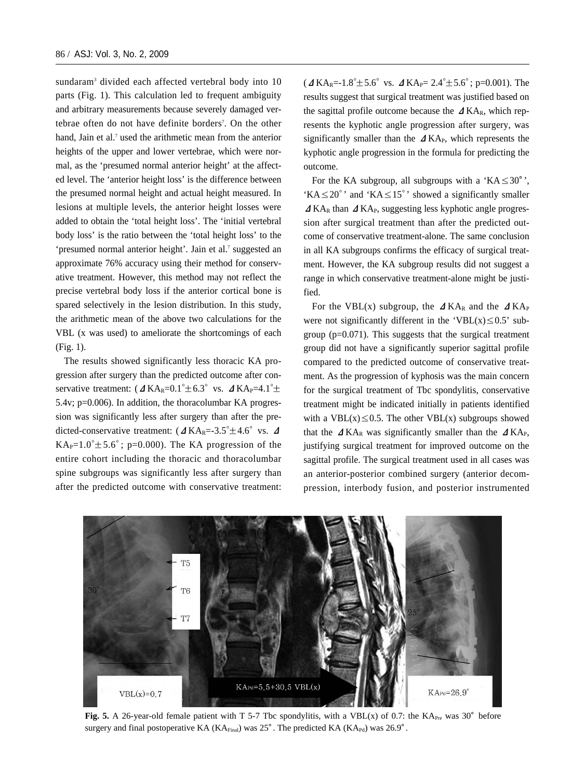sundaram<sup>3</sup> divided each affected vertebral body into 10 parts (Fig. 1). This calculation led to frequent ambiguity and arbitrary measurements because severely damaged vertebrae often do not have definite borders<sup>7</sup>. On the other hand, Jain et al.<sup>7</sup> used the arithmetic mean from the anterior heights of the upper and lower vertebrae, which were normal, as the 'presumed normal anterior height' at the affected level. The 'anterior height loss' is the difference between the presumed normal height and actual height measured. In lesions at multiple levels, the anterior height losses were added to obtain the 'total height loss'. The 'initial vertebral body loss' is the ratio between the 'total height loss' to the 'presumed normal anterior height'. Jain et al.<sup>7</sup> suggested an approximate 76% accuracy using their method for conservative treatment. However, this method may not reflect the precise vertebral body loss if the anterior cortical bone is spared selectively in the lesion distribution. In this study, the arithmetic mean of the above two calculations for the VBL (x was used) to ameliorate the shortcomings of each (Fig. 1).

The results showed significantly less thoracic KA progression after surgery than the predicted outcome after conservative treatment:  $(\Delta K A_R = 0.1^{\circ} \pm 6.3^{\circ} \text{ vs. } \Delta K A_P = 4.1^{\circ} \pm \text{ cm}$ 5.4v; p=0.006). In addition, the thoracolumbar KA progression was significantly less after surgery than after the predicted-conservative treatment:  $(\Delta K A_R = 3.5^{\circ} \pm 4.6^{\circ} \text{ vs. } \Delta$ KA<sub>P</sub>=1.0° $\pm$ 5.6°; p=0.000). The KA progression of the entire cohort including the thoracic and thoracolumbar spine subgroups was significantly less after surgery than after the predicted outcome with conservative treatment:  $($   $\Delta$  KA<sub>R</sub>=-1.8<sup>o</sup> ± 5.6<sup>o</sup> vs.  $\Delta$  KA<sub>P</sub>= 2.4<sup>o</sup> ± 5.6<sup>o</sup>; p=0.001). The results suggest that surgical treatment was justified based on the sagittal profile outcome because the  $\Delta K A_R$ , which represents the kyphotic angle progression after surgery, was significantly smaller than the  $\Delta$  KA<sub>P</sub>, which represents the kyphotic angle progression in the formula for predicting the outcome.

For the KA subgroup, all subgroups with a 'KA $\leq 30^\circ$ ', 'KA $\leq$ 20°' and 'KA $\leq$ 15°' showed a significantly smaller  $\Delta$ KA<sub>R</sub> than  $\Delta$ KA<sub>P</sub>, suggesting less kyphotic angle progression after surgical treatment than after the predicted outcome of conservative treatment-alone. The same conclusion in all KA subgroups confirms the efficacy of surgical treatment. However, the KA subgroup results did not suggest a range in which conservative treatment-alone might be justified.

For the VBL(x) subgroup, the  $\Delta$ KA<sub>R</sub> and the  $\Delta$ KA<sub>P</sub> were not significantly different in the 'VBL $(x) \le 0.5$ ' subgroup (p=0.071). This suggests that the surgical treatment group did not have a significantly superior sagittal profile compared to the predicted outcome of conservative treatment. As the progression of kyphosis was the main concern for the surgical treatment of Tbc spondylitis, conservative treatment might be indicated initially in patients identified with a VBL(x)  $\leq$  0.5. The other VBL(x) subgroups showed that the  $\Delta$ KA<sub>R</sub> was significantly smaller than the  $\Delta$ KA<sub>P</sub>, justifying surgical treatment for improved outcome on the sagittal profile. The surgical treatment used in all cases was an anterior-posterior combined surgery (anterior decompression, interbody fusion, and posterior instrumented



**Fig. 5.** A 26-year-old female patient with T 5-7 Tbc spondylitis, with a VBL(x) of 0.7: the KA<sub>Pre</sub> was 30 $^{\circ}$  before surgery and final postoperative KA ( $\text{K}A_{\text{Final}}$ ) was 25<sup>°</sup>. The predicted KA ( $\text{K}A_{\text{Pd}}$ ) was 26.9<sup>o</sup>.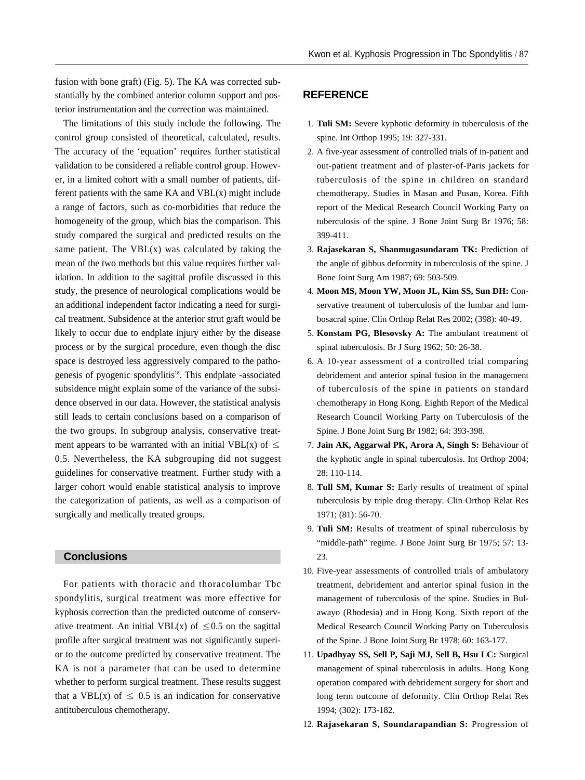fusion with bone graft) (Fig. 5). The KA was corrected substantially by the combined anterior column support and posterior instrumentation and the correction was maintained.

The limitations of this study include the following. The control group consisted of theoretical, calculated, results. The accuracy of the 'equation' requires further statistical validation to be considered a reliable control group. However, in a limited cohort with a small number of patients, different patients with the same  $KA$  and  $VBL(x)$  might include a range of factors, such as co-morbidities that reduce the homogeneity of the group, which bias the comparison. This study compared the surgical and predicted results on the same patient. The  $VBL(x)$  was calculated by taking the mean of the two methods but this value requires further validation. In addition to the sagittal profile discussed in this study, the presence of neurological complications would be an additional independent factor indicating a need for surgical treatment. Subsidence at the anterior strut graft would be likely to occur due to endplate injury either by the disease process or by the surgical procedure, even though the disc space is destroyed less aggressively compared to the pathogenesis of pyogenic spondylitis<sup>18</sup>. This endplate -associated subsidence might explain some of the variance of the subsidence observed in our data. However, the statistical analysis still leads to certain conclusions based on a comparison of the two groups. In subgroup analysis, conservative treatment appears to be warranted with an initial VBL(x) of  $\leq$ 0.5. Nevertheless, the KA subgrouping did not suggest guidelines for conservative treatment. Further study with a larger cohort would enable statistical analysis to improve the categorization of patients, as well as a comparison of surgically and medically treated groups.

# **Conclusions**

For patients with thoracic and thoracolumbar Tbc spondylitis, surgical treatment was more effective for kyphosis correction than the predicted outcome of conservative treatment. An initial VBL(x) of  $\leq 0.5$  on the sagittal profile after surgical treatment was not significantly superior to the outcome predicted by conservative treatment. The KA is not a parameter that can be used to determine whether to perform surgical treatment. These results suggest that a VBL(x) of  $\leq$  0.5 is an indication for conservative antituberculous chemotherapy.

# **REFERENCE**

- 01. **Tuli SM:** Severe kyphotic deformity in tuberculosis of the spine. Int Orthop 1995; 19: 327-331.
- 02. A five-year assessment of controlled trials of in-patient and out-patient treatment and of plaster-of-Paris jackets for tuberculosis of the spine in children on standard chemotherapy. Studies in Masan and Pusan, Korea. Fifth report of the Medical Research Council Working Party on tuberculosis of the spine. J Bone Joint Surg Br 1976; 58: 399-411.
- 03. **Rajasekaran S, Shanmugasundaram TK:** Prediction of the angle of gibbus deformity in tuberculosis of the spine. J Bone Joint Surg Am 1987; 69: 503-509.
- 04. **Moon MS, Moon YW, Moon JL, Kim SS, Sun DH:** Conservative treatment of tuberculosis of the lumbar and lumbosacral spine. Clin Orthop Relat Res 2002; (398): 40-49.
- 05. **Konstam PG, Blesovsky A:** The ambulant treatment of spinal tuberculosis. Br J Surg 1962; 50: 26-38.
- 06. A 10-year assessment of a controlled trial comparing debridement and anterior spinal fusion in the management of tuberculosis of the spine in patients on standard chemotherapy in Hong Kong. Eighth Report of the Medical Research Council Working Party on Tuberculosis of the Spine. J Bone Joint Surg Br 1982; 64: 393-398.
- 07. **Jain AK, Aggarwal PK, Arora A, Singh S:** Behaviour of the kyphotic angle in spinal tuberculosis. Int Orthop 2004; 28: 110-114.
- 08. **Tull SM, Kumar S:** Early results of treatment of spinal tuberculosis by triple drug therapy. Clin Orthop Relat Res 1971; (81): 56-70.
- 09. **Tuli SM:** Results of treatment of spinal tuberculosis by "middle-path" regime. J Bone Joint Surg Br 1975; 57: 13- 23.
- 10. Five-year assessments of controlled trials of ambulatory treatment, debridement and anterior spinal fusion in the management of tuberculosis of the spine. Studies in Bulawayo (Rhodesia) and in Hong Kong. Sixth report of the Medical Research Council Working Party on Tuberculosis of the Spine. J Bone Joint Surg Br 1978; 60: 163-177.
- 11. **Upadhyay SS, Sell P, Saji MJ, Sell B, Hsu LC:** Surgical management of spinal tuberculosis in adults. Hong Kong operation compared with debridement surgery for short and long term outcome of deformity. Clin Orthop Relat Res 1994; (302): 173-182.
- 12. **Rajasekaran S, Soundarapandian S:** Progression of